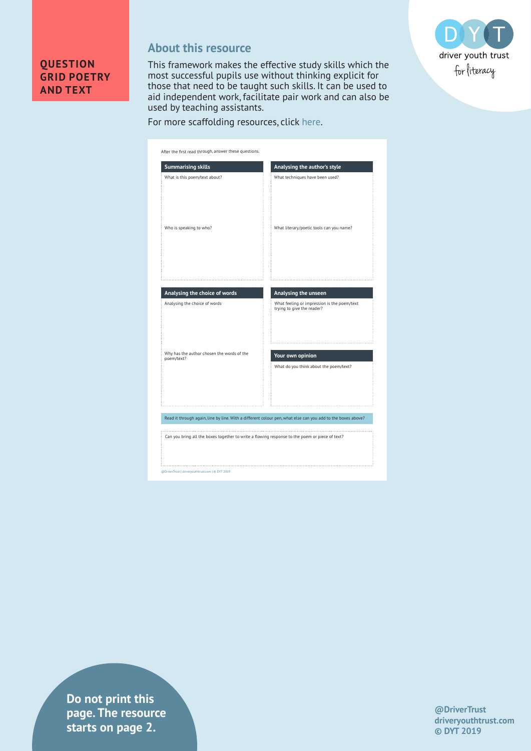

## **About this resource**

This framework makes the effective study skills which the most successful pupils use without thinking explicit for those that need to be taught such skills. It can be used to aid independent work, facilitate pair work and can also be used by teaching assistants.



## For more scaffolding resources, click here.

| What techniques have been used?                                                                   |
|---------------------------------------------------------------------------------------------------|
|                                                                                                   |
| What literary/poetic tools can you name?                                                          |
| Analysing the unseen<br>What feeling or impression is the poem/text<br>trying to give the reader? |
| Your own opinion<br>What do you think about the poem/text?                                        |
|                                                                                                   |
|                                                                                                   |

**Do not print this page. The resource starts on page 2.**

**@DriverTrust driveryouthtrust.com © DYT 2019**